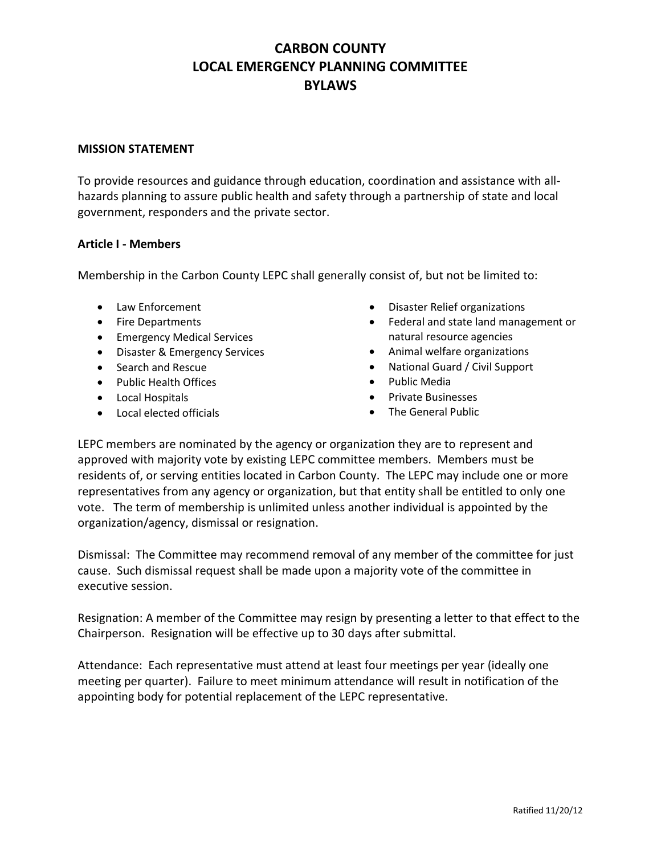## **CARBON COUNTY LOCAL EMERGENCY PLANNING COMMITTEE BYLAWS**

### **MISSION STATEMENT**

To provide resources and guidance through education, coordination and assistance with allhazards planning to assure public health and safety through a partnership of state and local government, responders and the private sector.

## **Article I - Members**

Membership in the Carbon County LEPC shall generally consist of, but not be limited to:

- Law Enforcement
- Fire Departments
- **•** Emergency Medical Services
- Disaster & Emergency Services
- Search and Rescue
- Public Health Offices
- Local Hospitals
- Local elected officials
- Disaster Relief organizations
- Federal and state land management or natural resource agencies
- Animal welfare organizations
- National Guard / Civil Support
- Public Media
- Private Businesses
- The General Public

LEPC members are nominated by the agency or organization they are to represent and approved with majority vote by existing LEPC committee members. Members must be residents of, or serving entities located in Carbon County. The LEPC may include one or more representatives from any agency or organization, but that entity shall be entitled to only one vote. The term of membership is unlimited unless another individual is appointed by the organization/agency, dismissal or resignation.

Dismissal: The Committee may recommend removal of any member of the committee for just cause. Such dismissal request shall be made upon a majority vote of the committee in executive session.

Resignation: A member of the Committee may resign by presenting a letter to that effect to the Chairperson. Resignation will be effective up to 30 days after submittal.

Attendance: Each representative must attend at least four meetings per year (ideally one meeting per quarter). Failure to meet minimum attendance will result in notification of the appointing body for potential replacement of the LEPC representative.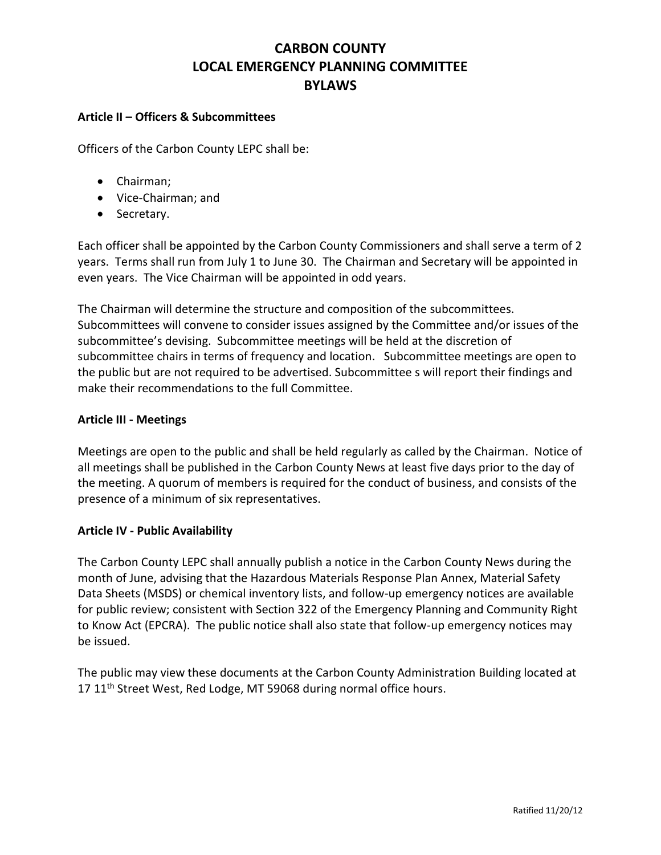## **CARBON COUNTY LOCAL EMERGENCY PLANNING COMMITTEE BYLAWS**

### **Article II – Officers & Subcommittees**

Officers of the Carbon County LEPC shall be:

- Chairman;
- Vice-Chairman; and
- Secretary.

Each officer shall be appointed by the Carbon County Commissioners and shall serve a term of 2 years. Terms shall run from July 1 to June 30. The Chairman and Secretary will be appointed in even years. The Vice Chairman will be appointed in odd years.

The Chairman will determine the structure and composition of the subcommittees. Subcommittees will convene to consider issues assigned by the Committee and/or issues of the subcommittee's devising. Subcommittee meetings will be held at the discretion of subcommittee chairs in terms of frequency and location. Subcommittee meetings are open to the public but are not required to be advertised. Subcommittee s will report their findings and make their recommendations to the full Committee.

## **Article III - Meetings**

Meetings are open to the public and shall be held regularly as called by the Chairman. Notice of all meetings shall be published in the Carbon County News at least five days prior to the day of the meeting. A quorum of members is required for the conduct of business, and consists of the presence of a minimum of six representatives.

## **Article IV - Public Availability**

The Carbon County LEPC shall annually publish a notice in the Carbon County News during the month of June, advising that the Hazardous Materials Response Plan Annex, Material Safety Data Sheets (MSDS) or chemical inventory lists, and follow-up emergency notices are available for public review; consistent with Section 322 of the Emergency Planning and Community Right to Know Act (EPCRA). The public notice shall also state that follow-up emergency notices may be issued.

The public may view these documents at the Carbon County Administration Building located at 17 11<sup>th</sup> Street West, Red Lodge, MT 59068 during normal office hours.